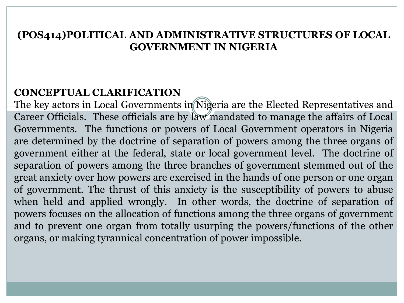#### **(POS414)POLITICAL AND ADMINISTRATIVE STRUCTURES OF LOCAL GOVERNMENT IN NIGERIA**

### **CONCEPTUAL CLARIFICATION**

The key actors in Local Governments in Nigeria are the Elected Representatives and Career Officials. These officials are by law mandated to manage the affairs of Local Governments. The functions or powers of Local Government operators in Nigeria are determined by the doctrine of separation of powers among the three organs of government either at the federal, state or local government level. The doctrine of separation of powers among the three branches of government stemmed out of the great anxiety over how powers are exercised in the hands of one person or one organ of government. The thrust of this anxiety is the susceptibility of powers to abuse when held and applied wrongly. In other words, the doctrine of separation of powers focuses on the allocation of functions among the three organs of government and to prevent one organ from totally usurping the powers/functions of the other organs, or making tyrannical concentration of power impossible.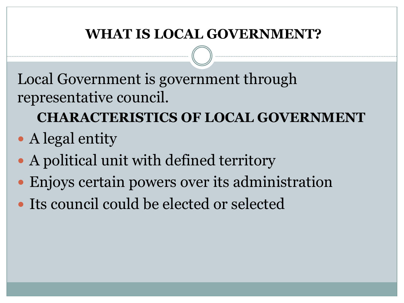### **WHAT IS LOCAL GOVERNMENT?**

Local Government is government through representative council.

**CHARACTERISTICS OF LOCAL GOVERNMENT** 

- A legal entity
- A political unit with defined territory
- Enjoys certain powers over its administration
- Its council could be elected or selected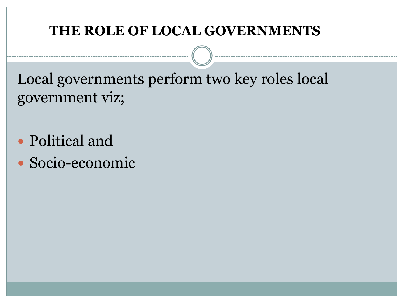### **THE ROLE OF LOCAL GOVERNMENTS**

Local governments perform two key roles local government viz;

- Political and
- Socio-economic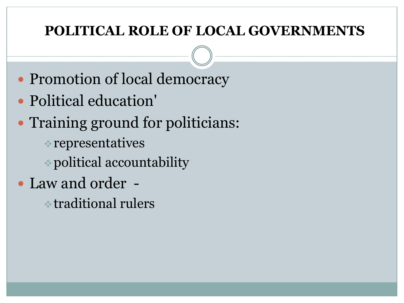### **POLITICAL ROLE OF LOCAL GOVERNMENTS**

- Promotion of local democracy
- Political education'
- Training ground for politicians:
	- $\cdot$  representatives
	- vpolitical accountability
- Law and order
	- $\cdot$  traditional rulers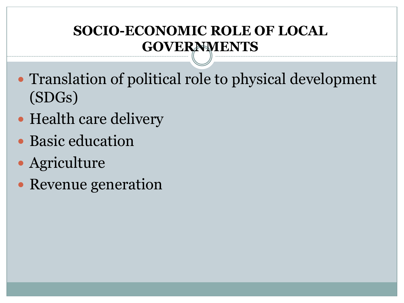## **SOCIO-ECONOMIC ROLE OF LOCAL GOVERNMENTS**

- Translation of political role to physical development (SDGs)
- Health care delivery
- Basic education
- Agriculture
- Revenue generation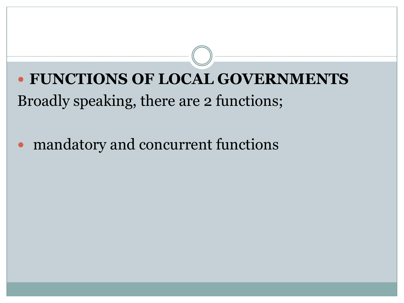**FUNCTIONS OF LOCAL GOVERNMENTS**  Broadly speaking, there are 2 functions;

mandatory and concurrent functions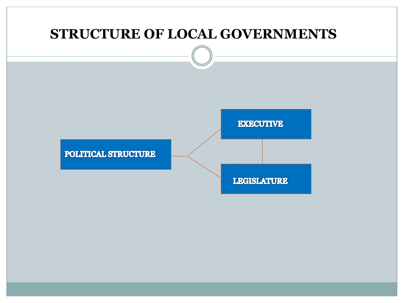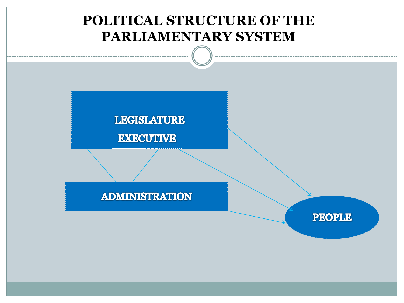### **POLITICAL STRUCTURE OF THE PARLIAMENTARY SYSTEM**

**LEGISLATURE** 

**EXECUTIVE** 

**ADMINISTRATION** 

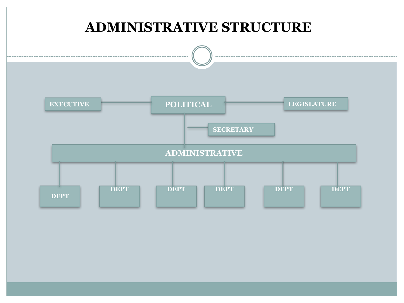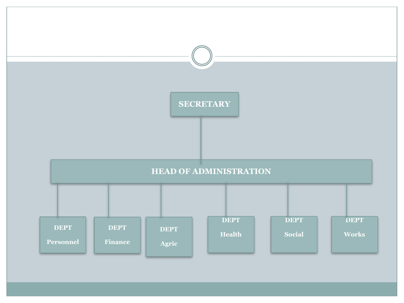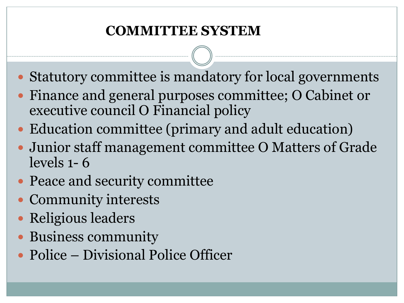## **COMMITTEE SYSTEM**

- Statutory committee is mandatory for local governments
- Finance and general purposes committee; O Cabinet or executive council O Financial policy
- Education committee (primary and adult education)
- Junior staff management committee O Matters of Grade levels 1- 6
- Peace and security committee
- Community interests
- Religious leaders
- Business community
- Police Divisional Police Officer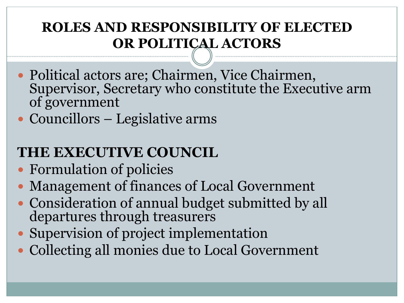### **ROLES AND RESPONSIBILITY OF ELECTED OR POLITICAL ACTORS**

- Political actors are; Chairmen, Vice Chairmen, Supervisor, Secretary who constitute the Executive arm of government
- Councillors Legislative arms

## **THE EXECUTIVE COUNCIL**

- Formulation of policies
- Management of finances of Local Government
- Consideration of annual budget submitted by all departures through treasurers
- Supervision of project implementation
- Collecting all monies due to Local Government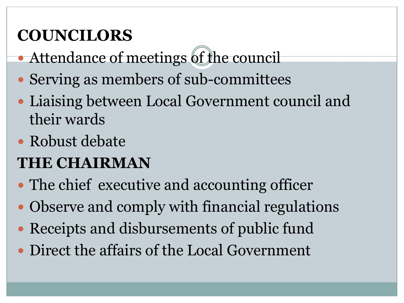# **COUNCILORS**

- · Attendance of meetings of the council
- Serving as members of sub-committees
- Liaising between Local Government council and their wards
- Robust debate

# **THE CHAIRMAN**

- The chief executive and accounting officer
- Observe and comply with financial regulations
- Receipts and disbursements of public fund
- Direct the affairs of the Local Government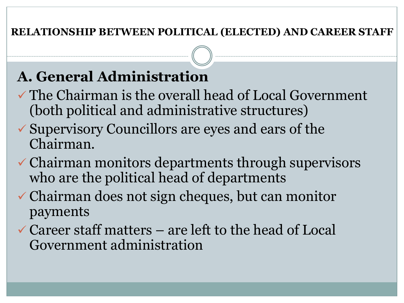### **RELATIONSHIP BETWEEN POLITICAL (ELECTED) AND CAREER STAFF**

## **A. General Administration**

- $\checkmark$  The Chairman is the overall head of Local Government (both political and administrative structures)
- $\checkmark$  Supervisory Councillors are eyes and ears of the Chairman.
- $\checkmark$  Chairman monitors departments through supervisors who are the political head of departments
- $\checkmark$  Chairman does not sign cheques, but can monitor payments
- $\checkmark$  Career staff matters are left to the head of Local Government administration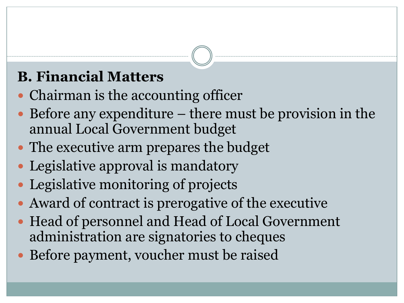## **B. Financial Matters**

- Chairman is the accounting officer
- Before any expenditure there must be provision in the annual Local Government budget
- The executive arm prepares the budget
- Legislative approval is mandatory
- Legislative monitoring of projects
- Award of contract is prerogative of the executive
- Head of personnel and Head of Local Government administration are signatories to cheques
- Before payment, voucher must be raised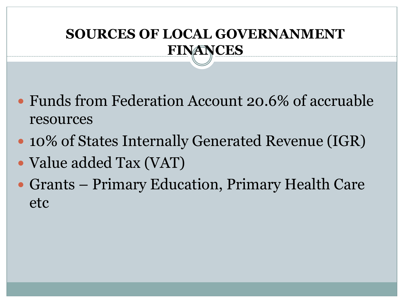## **SOURCES OF LOCAL GOVERNANMENT FINANCES**

- Funds from Federation Account 20.6% of accruable resources
- 10% of States Internally Generated Revenue (IGR)
- Value added Tax (VAT)
- Grants Primary Education, Primary Health Care etc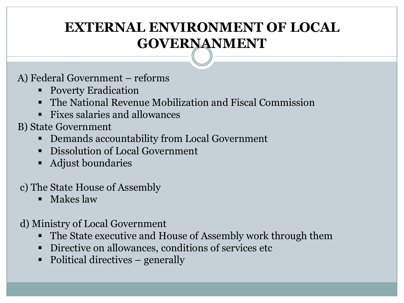### **EXTERNAL ENVIRONMENT OF LOCAL GOVERNANMENT**

#### A) Federal Government – reforms

- Poverty Eradication
- The National Revenue Mobilization and Fiscal Commission
- § Fixes salaries and allowances
- B) State Government
	- § Demands accountability from Local Government
	- Dissolution of Local Government
	- Adjust boundaries

#### c) The State House of Assembly

§ Makes law

### d) Ministry of Local Government

- The State executive and House of Assembly work through them
- Directive on allowances, conditions of services etc
- Political directives generally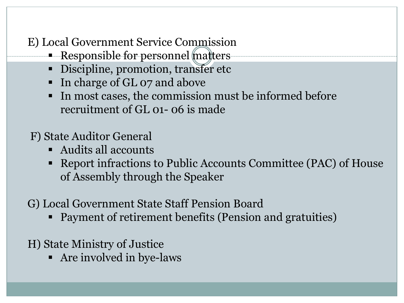E) Local Government Service Commission

- Responsible for personnel matters
	- Discipline, promotion, transfer etc
	- In charge of GL 07 and above
	- In most cases, the commission must be informed before recruitment of GL 01- 06 is made
- F) State Auditor General
	- § Audits all accounts
	- Report infractions to Public Accounts Committee (PAC) of House of Assembly through the Speaker
- G) Local Government State Staff Pension Board
	- Payment of retirement benefits (Pension and gratuities)
- H) State Ministry of Justice
	- § Are involved in bye-laws